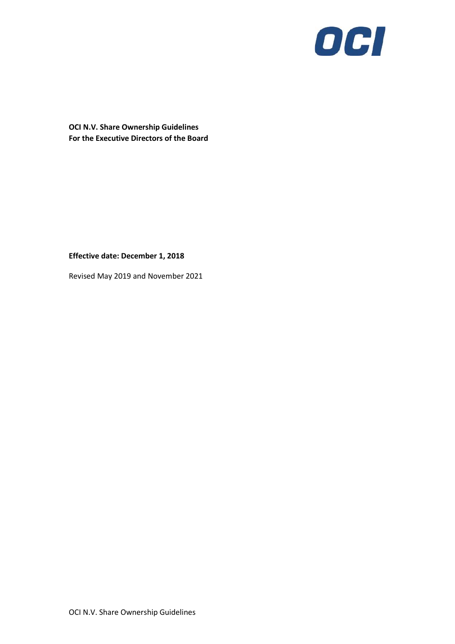

**OCI N.V. Share Ownership Guidelines For the Executive Directors of the Board**

### **Effective date: December 1, 2018**

Revised May 2019 and November 2021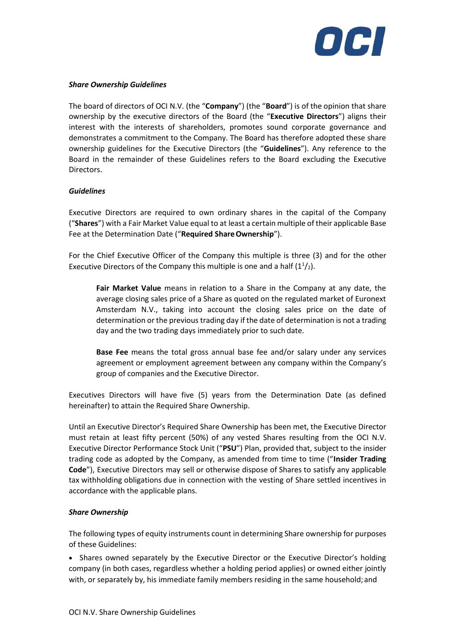

#### *Share Ownership Guidelines*

The board of directors of OCI N.V. (the "**Company**") (the "**Board**") is of the opinion that share ownership by the executive directors of the Board (the "**Executive Directors**") aligns their interest with the interests of shareholders, promotes sound corporate governance and demonstrates a commitment to the Company. The Board has therefore adopted these share ownership guidelines for the Executive Directors (the "**Guidelines**"). Any reference to the Board in the remainder of these Guidelines refers to the Board excluding the Executive Directors.

### *Guidelines*

Executive Directors are required to own ordinary shares in the capital of the Company ("**Shares**") with a Fair Market Value equal to at least a certain multiple of their applicable Base Fee at the Determination Date ("**Required ShareOwnership**").

For the Chief Executive Officer of the Company this multiple is three (3) and for the other Executive Directors of the Company this multiple is one and a half  $(1<sup>1</sup>/<sub>2</sub>)$ .

**Fair Market Value** means in relation to a Share in the Company at any date, the average closing sales price of a Share as quoted on the regulated market of Euronext Amsterdam N.V., taking into account the closing sales price on the date of determination orthe previous trading day if the date of determination is not a trading day and the two trading days immediately prior to such date.

**Base Fee** means the total gross annual base fee and/or salary under any services agreement or employment agreement between any company within the Company's group of companies and the Executive Director.

Executives Directors will have five (5) years from the Determination Date (as defined hereinafter) to attain the Required Share Ownership.

Until an Executive Director's Required Share Ownership has been met, the Executive Director must retain at least fifty percent (50%) of any vested Shares resulting from the OCI N.V. Executive Director Performance Stock Unit ("**PSU**") Plan, provided that, subject to the insider trading code as adopted by the Company, as amended from time to time ("**Insider Trading Code**"), Executive Directors may sell or otherwise dispose of Shares to satisfy any applicable tax withholding obligations due in connection with the vesting of Share settled incentives in accordance with the applicable plans.

#### *Share Ownership*

The following types of equity instruments count in determining Share ownership for purposes of these Guidelines:

• Shares owned separately by the Executive Director or the Executive Director's holding company (in both cases, regardless whether a holding period applies) or owned either jointly with, or separately by, his immediate family members residing in the same household; and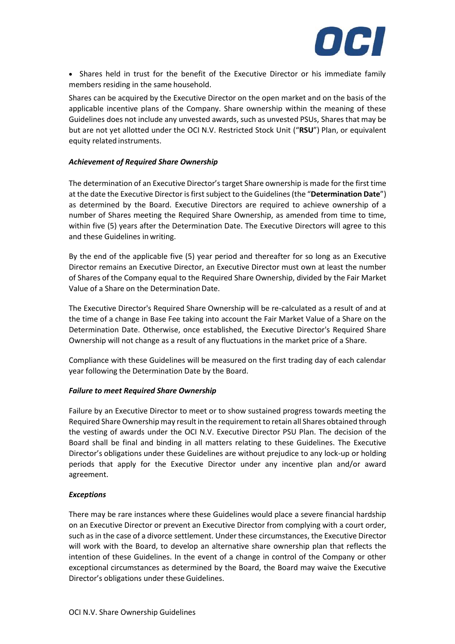

• Shares held in trust for the benefit of the Executive Director or his immediate family members residing in the same household.

Shares can be acquired by the Executive Director on the open market and on the basis of the applicable incentive plans of the Company. Share ownership within the meaning of these Guidelines does not include any unvested awards, such as unvested PSUs, Shares that may be but are not yet allotted under the OCI N.V. Restricted Stock Unit ("**RSU**") Plan, or equivalent equity related instruments.

### *Achievement of Required Share Ownership*

The determination of an Executive Director's target Share ownership is made for the first time at the date the Executive Director isfirstsubject to the Guidelines(the "**Determination Date**") as determined by the Board. Executive Directors are required to achieve ownership of a number of Shares meeting the Required Share Ownership, as amended from time to time, within five (5) years after the Determination Date. The Executive Directors will agree to this and these Guidelines in writing.

By the end of the applicable five (5) year period and thereafter for so long as an Executive Director remains an Executive Director, an Executive Director must own at least the number of Shares of the Company equal to the Required Share Ownership, divided by the Fair Market Value of a Share on the Determination Date.

The Executive Director's Required Share Ownership will be re-calculated as a result of and at the time of a change in Base Fee taking into account the Fair Market Value of a Share on the Determination Date. Otherwise, once established, the Executive Director's Required Share Ownership will not change as a result of any fluctuations in the market price of a Share.

Compliance with these Guidelines will be measured on the first trading day of each calendar year following the Determination Date by the Board.

# *Failure to meet Required Share Ownership*

Failure by an Executive Director to meet or to show sustained progress towards meeting the Required Share Ownership may result in the requirement to retain all Shares obtained through the vesting of awards under the OCI N.V. Executive Director PSU Plan. The decision of the Board shall be final and binding in all matters relating to these Guidelines. The Executive Director's obligations under these Guidelines are without prejudice to any lock-up or holding periods that apply for the Executive Director under any incentive plan and/or award agreement.

# *Exceptions*

There may be rare instances where these Guidelines would place a severe financial hardship on an Executive Director or prevent an Executive Director from complying with a court order, such as in the case of a divorce settlement. Under these circumstances, the Executive Director will work with the Board, to develop an alternative share ownership plan that reflects the intention of these Guidelines. In the event of a change in control of the Company or other exceptional circumstances as determined by the Board, the Board may waive the Executive Director's obligations under these Guidelines.